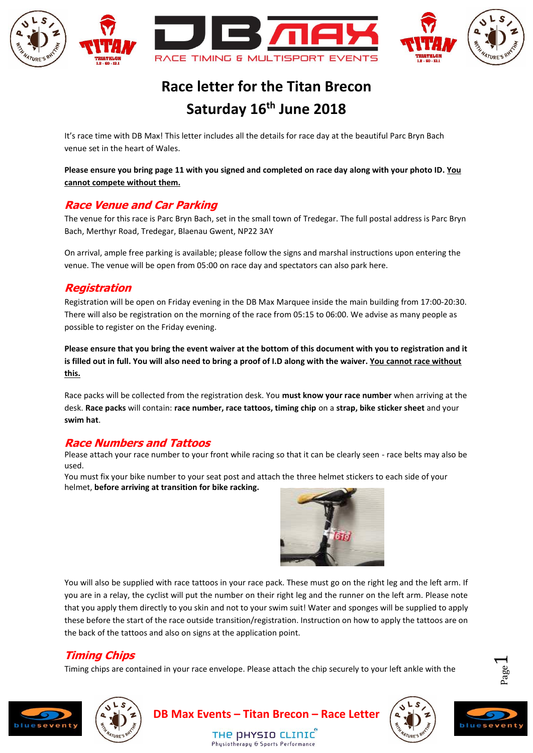

# **Race letter for the Titan Brecon Saturday 16th June 2018**

It's race time with DB Max! This letter includes all the details for race day at the beautiful Parc Bryn Bach venue set in the heart of Wales.

**Please ensure you bring page 11 with you signed and completed on race day along with your photo ID. You cannot compete without them.**

### **Race Venue and Car Parking**

The venue for this race is Parc Bryn Bach, set in the small town of Tredegar. The full postal address is Parc Bryn Bach, Merthyr Road, Tredegar, Blaenau Gwent, NP22 3AY

On arrival, ample free parking is available; please follow the signs and marshal instructions upon entering the venue. The venue will be open from 05:00 on race day and spectators can also park here.

# **Registration**

Registration will be open on Friday evening in the DB Max Marquee inside the main building from 17:00-20:30. There will also be registration on the morning of the race from 05:15 to 06:00. We advise as many people as possible to register on the Friday evening.

**Please ensure that you bring the event waiver at the bottom of this document with you to registration and it is filled out in full. You will also need to bring a proof of I.D along with the waiver. You cannot race without this.**

Race packs will be collected from the registration desk. You **must know your race number** when arriving at the desk. **Race packs** will contain: **race number, race tattoos, timing chip** on a **strap, bike sticker sheet** and your **swim hat**.

### **Race Numbers and Tattoos**

Please attach your race number to your front while racing so that it can be clearly seen - race belts may also be used.

You must fix your bike number to your seat post and attach the three helmet stickers to each side of your helmet, **before arriving at transition for bike racking.** 



You will also be supplied with race tattoos in your race pack. These must go on the right leg and the left arm. If you are in a relay, the cyclist will put the number on their right leg and the runner on the left arm. Please note that you apply them directly to you skin and not to your swim suit! Water and sponges will be supplied to apply these before the start of the race outside transition/registration. Instruction on how to apply the tattoos are on the back of the tattoos and also on signs at the application point.

# **Timing Chips**

Timing chips are contained in your race envelope. Please attach the chip securely to your left ankle with the

THE DHYSIO CLINIC Phusiotheranu & Sports Performanc







**DB Max Events – Titan Brecon – Race Letter**



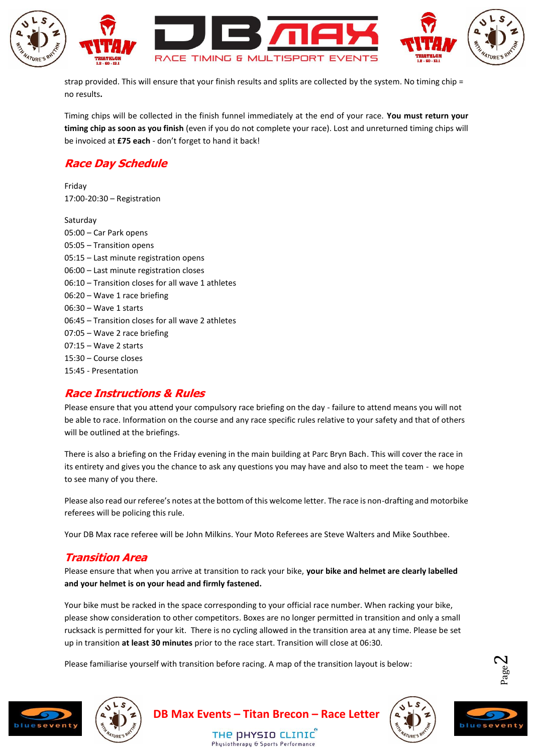

strap provided. This will ensure that your finish results and splits are collected by the system. No timing chip = no results**.**

Timing chips will be collected in the finish funnel immediately at the end of your race. **You must return your timing chip as soon as you finish** (even if you do not complete your race). Lost and unreturned timing chips will be invoiced at **£75 each** - don't forget to hand it back!

# **Race Day Schedule**

Friday 17:00-20:30 – Registration

Saturday 05:00 – Car Park opens 05:05 – Transition opens 05:15 – Last minute registration opens 06:00 – Last minute registration closes 06:10 – Transition closes for all wave 1 athletes 06:20 – Wave 1 race briefing 06:30 – Wave 1 starts 06:45 – Transition closes for all wave 2 athletes 07:05 – Wave 2 race briefing 07:15 – Wave 2 starts 15:30 – Course closes 15:45 - Presentation

### **Race Instructions & Rules**

Please ensure that you attend your compulsory race briefing on the day - failure to attend means you will not be able to race. Information on the course and any race specific rules relative to your safety and that of others will be outlined at the briefings.

There is also a briefing on the Friday evening in the main building at Parc Bryn Bach. This will cover the race in its entirety and gives you the chance to ask any questions you may have and also to meet the team - we hope to see many of you there.

Please also read our referee's notes at the bottom of this welcome letter. The race is non-drafting and motorbike referees will be policing this rule.

Your DB Max race referee will be John Milkins. Your Moto Referees are Steve Walters and Mike Southbee.

# **Transition Area**

Please ensure that when you arrive at transition to rack your bike, **your bike and helmet are clearly labelled and your helmet is on your head and firmly fastened.**

Your bike must be racked in the space corresponding to your official race number. When racking your bike, please show consideration to other competitors. Boxes are no longer permitted in transition and only a small rucksack is permitted for your kit. There is no cycling allowed in the transition area at any time. Please be set up in transition **at least 30 minutes** prior to the race start. Transition will close at 06:30.

Please familiarise yourself with transition before racing. A map of the transition layout is below:









Page  $\boldsymbol{\sim}$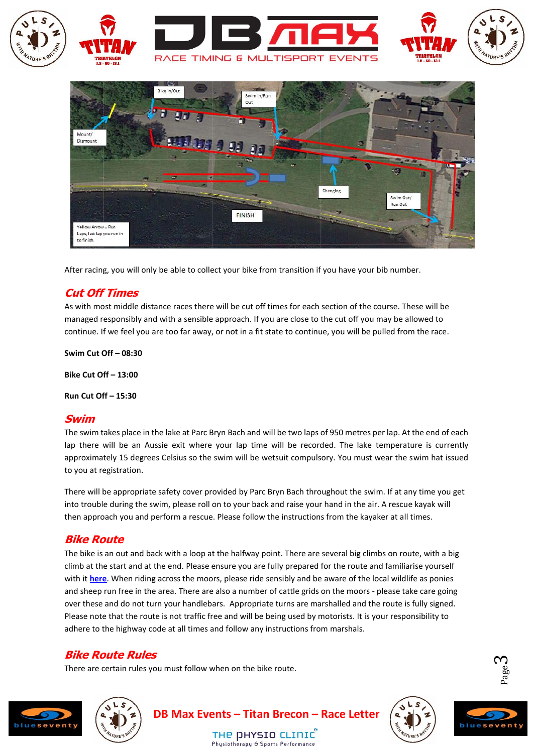



After racing, you will only be able to collect your bike from transition if you have your bib number.

### **Cut Off Times**

As with most middle distance races there will be cut off times for each section of the course. These will be managed responsibly and with a sensible approach. If you are close to the cut off you may be allowed to continue. If we feel you are too far away, or not in a fit state to continue, you will be pulled from the race.

**Swim Cut Off – 08:30**

**Bike Cut Off – 13:00**

**Run Cut Off – 15:30**

#### **Swim**

The swim takes place in the lake at Parc Bryn Bach and will be two laps of 950 metres per lap. At the end of each lap there will be an Aussie exit where your lap time will be recorded. The lake temperature is currently approximately 15 degrees Celsius so the swim will be wetsuit compulsory. You must wear the swim hat issued to you at registration.

There will be appropriate safety cover provided by Parc Bryn Bach throughout the swim. If at any time you get into trouble during the swim, please roll on to your back and raise your hand in the air. A rescue kayak will then approach you and perform a rescue. Please follow the instructions from the kayaker at all times.

#### **Bike Route**

The bike is an out and back with a loop at the halfway point. There are several big climbs on route, with a big climb at the start and at the end. Please ensure you are fully prepared for the route and familiarise yourself with it **[here](http://gb.mapometer.com/cycling/route_3886563.html)**. When riding across the moors, please ride sensibly and be aware of the local wildlife as ponies and sheep run free in the area. There are also a number of cattle grids on the moors - please take care going over these and do not turn your handlebars. Appropriate turns are marshalled and the route is fully signed. Please note that the route is not traffic free and will be being used by motorists. It is your responsibility to adhere to the highway code at all times and follow any instructions from marshals.

### **Bike Route Rules**

There are certain rules you must follow when on the bike route.







Page  $\infty$ 

THE DHYSIO CLINIC Phusiotheranu & Sports Performance

**DB Max Events – Titan Brecon – Race Letter**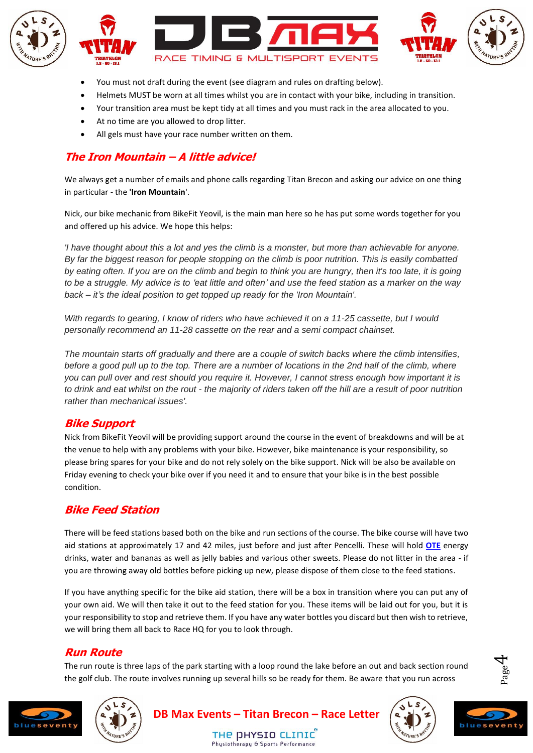

- You must not draft during the event (see diagram and rules on drafting below).
- Helmets MUST be worn at all times whilst you are in contact with your bike, including in transition.
- Your transition area must be kept tidy at all times and you must rack in the area allocated to you.
- At no time are you allowed to drop litter.
- All gels must have your race number written on them.

# **The Iron Mountain – A little advice!**

We always get a number of emails and phone calls regarding Titan Brecon and asking our advice on one thing in particular - the **'Iron Mountain**'.

Nick, our bike mechanic from BikeFit Yeovil, is the main man here so he has put some words together for you and offered up his advice. We hope this helps:

*'I have thought about this a lot and yes the climb is a monster, but more than achievable for anyone. By far the biggest reason for people stopping on the climb is poor nutrition. This is easily combatted by eating often. If you are on the climb and begin to think you are hungry, then it's too late, it is going to be a struggle. My advice is to 'eat little and often' and use the feed station as a marker on the way back – it's the ideal position to get topped up ready for the 'Iron Mountain'.*

*With regards to gearing, I know of riders who have achieved it on a 11-25 cassette, but I would personally recommend an 11-28 cassette on the rear and a semi compact chainset.*

*The mountain starts off gradually and there are a couple of switch backs where the climb intensifies, before a good pull up to the top. There are a number of locations in the 2nd half of the climb, where you can pull over and rest should you require it. However, I cannot stress enough how important it is to drink and eat whilst on the rout - the majority of riders taken off the hill are a result of poor nutrition rather than mechanical issues'.*

### **Bike Support**

Nick from BikeFit Yeovil will be providing support around the course in the event of breakdowns and will be at the venue to help with any problems with your bike. However, bike maintenance is your responsibility, so please bring spares for your bike and do not rely solely on the bike support. Nick will be also be available on Friday evening to check your bike over if you need it and to ensure that your bike is in the best possible condition.

### **Bike Feed Station**

There will be feed stations based both on the bike and run sections of the course. The bike course will have two aid stations at approximately 17 and 42 miles, just before and just after Pencelli. These will hold **[OTE](https://www.otesports.co.uk/product-category/drinks/energy-drinks/)** energy drinks, water and bananas as well as jelly babies and various other sweets. Please do not litter in the area - if you are throwing away old bottles before picking up new, please dispose of them close to the feed stations.

If you have anything specific for the bike aid station, there will be a box in transition where you can put any of your own aid. We will then take it out to the feed station for you. These items will be laid out for you, but it is your responsibility to stop and retrieve them. If you have any water bottles you discard but then wish to retrieve, we will bring them all back to Race HQ for you to look through.

### **Run Route**

The run route is three laps of the park starting with a loop round the lake before an out and back section round the golf club. The route involves running up several hills so be ready for them. Be aware that you run across





Page  $\overline{\mathcal{A}}$ 

THE DHYSIO CLINIC Phusiotheranu & Sports Performance

**DB Max Events – Titan Brecon – Race Letter**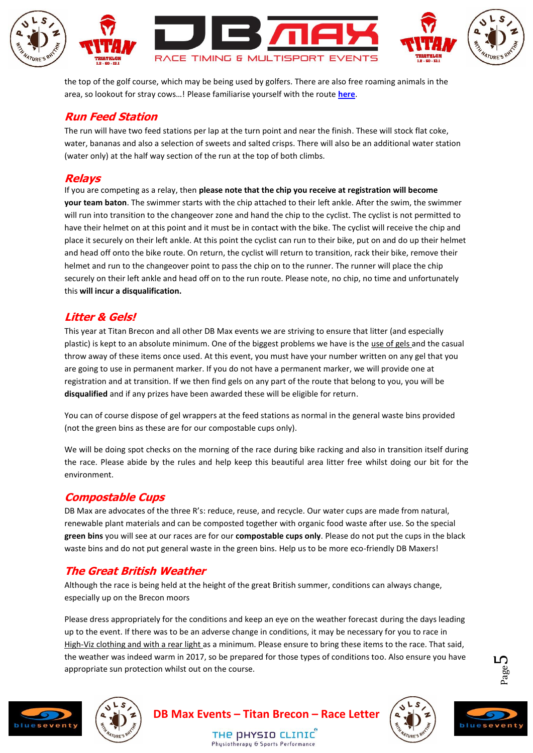

the top of the golf course, which may be being used by golfers. There are also free roaming animals in the area, so lookout for stray cows…! Please familiarise yourself with the route **[here](http://gb.mapometer.com/running/route_3703131.html)**.

### **Run Feed Station**

The run will have two feed stations per lap at the turn point and near the finish. These will stock flat coke, water, bananas and also a selection of sweets and salted crisps. There will also be an additional water station (water only) at the half way section of the run at the top of both climbs.

### **Relays**

If you are competing as a relay, then **please note that the chip you receive at registration will become your team baton**. The swimmer starts with the chip attached to their left ankle. After the swim, the swimmer will run into transition to the changeover zone and hand the chip to the cyclist. The cyclist is not permitted to have their helmet on at this point and it must be in contact with the bike. The cyclist will receive the chip and place it securely on their left ankle. At this point the cyclist can run to their bike, put on and do up their helmet and head off onto the bike route. On return, the cyclist will return to transition, rack their bike, remove their helmet and run to the changeover point to pass the chip on to the runner. The runner will place the chip securely on their left ankle and head off on to the run route. Please note, no chip, no time and unfortunately this **will incur a disqualification.**

### **Litter & Gels!**

This year at Titan Brecon and all other DB Max events we are striving to ensure that litter (and especially plastic) is kept to an absolute minimum. One of the biggest problems we have is the use of gels and the casual throw away of these items once used. At this event, you must have your number written on any gel that you are going to use in permanent marker. If you do not have a permanent marker, we will provide one at registration and at transition. If we then find gels on any part of the route that belong to you, you will be **disqualified** and if any prizes have been awarded these will be eligible for return.

You can of course dispose of gel wrappers at the feed stations as normal in the general waste bins provided (not the green bins as these are for our compostable cups only).

We will be doing spot checks on the morning of the race during bike racking and also in transition itself during the race. Please abide by the rules and help keep this beautiful area litter free whilst doing our bit for the environment.

### **Compostable Cups**

DB Max are advocates of the three R's: reduce, reuse, and recycle. Our water cups are made from natural, renewable plant materials and can be composted together with organic food waste after use. So the special **green bins** you will see at our races are for our **compostable cups only**. Please do not put the cups in the black waste bins and do not put general waste in the green bins. Help us to be more eco-friendly DB Maxers!

# **The Great British Weather**

Although the race is being held at the height of the great British summer, conditions can always change, especially up on the Brecon moors

Please dress appropriately for the conditions and keep an eye on the weather forecast during the days leading up to the event. If there was to be an adverse change in conditions, it may be necessary for you to race in High-Viz clothing and with a rear light as a minimum. Please ensure to bring these items to the race. That said, the weather was indeed warm in 2017, so be prepared for those types of conditions too. Also ensure you have appropriate sun protection whilst out on the course.





**DB Max Events – Titan Brecon – Race Letter**

THE DHYSIO CLINIC Phusiotheranu & Sports Performanc





Page ம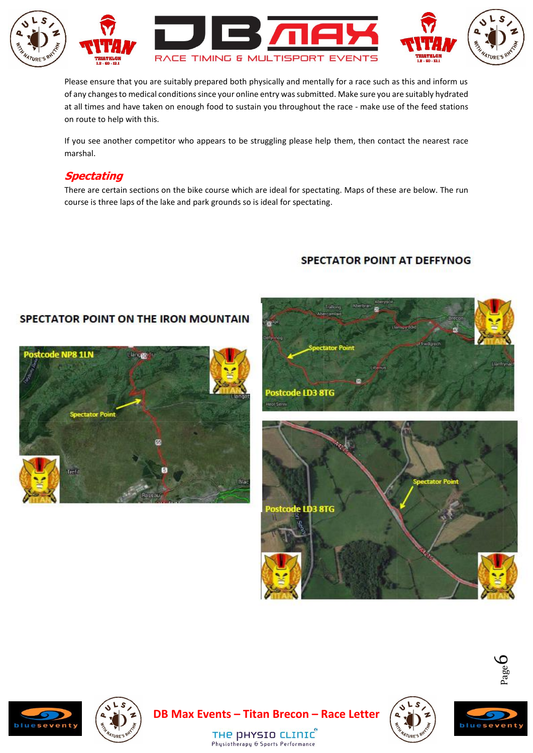

Please ensure that you are suitably prepared both physically and mentally for a race such as this and inform us of any changes to medical conditions since your online entry was submitted. Make sure you are suitably hydrated at all times and have taken on enough food to sustain you throughout the race - make use of the feed stations on route to help with this.

If you see another competitor who appears to be struggling please help them, then contact the nearest race marshal.

### **Spectating**

There are certain sections on the bike course which are ideal for spectating. Maps of these are below. The run course is three laps of the lake and park grounds so is ideal for spectating.

# **SPECTATOR POINT AT DEFFYNOG**

### SPECTATOR POINT ON THE IRON MOUNTAIN













Page  $\infty$ 

THE DHYSIO CLINIC Physiotherapy & Sports Performance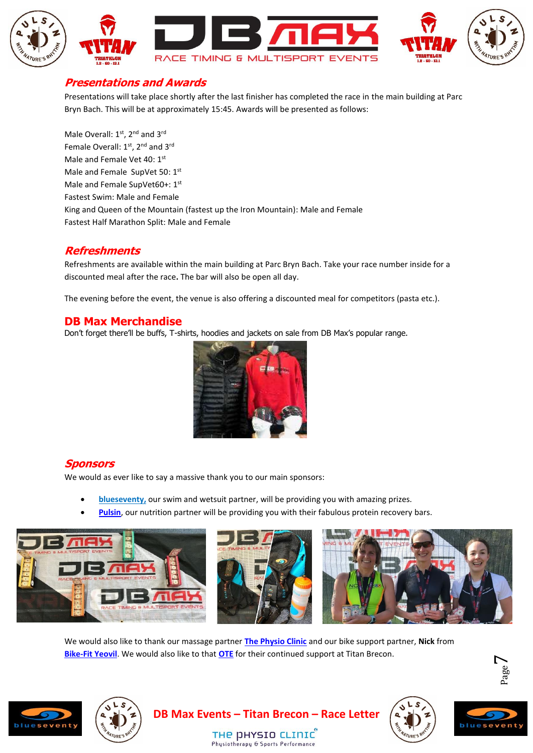

#### **Presentations and Awards**

Presentations will take place shortly after the last finisher has completed the race in the main building at Parc Bryn Bach. This will be at approximately 15:45. Awards will be presented as follows:

Male Overall:  $1<sup>st</sup>$ ,  $2<sup>nd</sup>$  and  $3<sup>rd</sup>$ Female Overall: 1<sup>st</sup>, 2<sup>nd</sup> and 3<sup>rd</sup> Male and Female Vet 40: 1st Male and Female SupVet 50: 1st Male and Female SupVet60+: 1st Fastest Swim: Male and Female King and Queen of the Mountain (fastest up the Iron Mountain): Male and Female Fastest Half Marathon Split: Male and Female

#### **Refreshments**

Refreshments are available within the main building at Parc Bryn Bach. Take your race number inside for a discounted meal after the race**.** The bar will also be open all day.

The evening before the event, the venue is also offering a discounted meal for competitors (pasta etc.).

#### **DB Max Merchandise**

Don't forget there'll be buffs, T-shirts, hoodies and jackets on sale from DB Max's popular range.



### **Sponsors**

We would as ever like to say a massive thank you to our main sponsors:

- **[blueseventy,](https://www.blueseventy.co.uk/)** our swim and wetsuit partner, will be providing you with amazing prizes.
- **[Pulsin](https://www.pulsin.co.uk/)**, our nutrition partner will be providing you with their fabulous protein recovery bars.



We would also like to thank our massage partner **[The Physio Clinic](https://www.thephysioclinicbristol.co.uk/)** and our bike support partner, **Nick** from **[Bike-Fit Yeovil](http://www.bikefityeovil.co.uk/)**. We would also like to that **[OTE](https://www.otesports.co.uk/)** for their continued support at Titan Brecon.

Physiotherapy & Sports Performance





**DB Max Events – Titan Brecon – Race Letter** THE DHYSIO CLINIC





Page  $\overline{\phantom{a}}$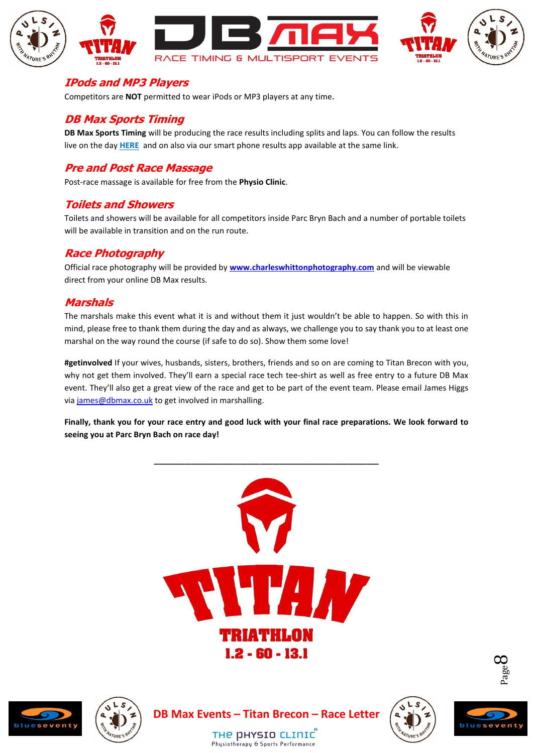

#### **IPods and MP3 Players**

Competitors are **NOT** permitted to wear iPods or MP3 players at any time.

### **DB Max Sports Timing**

**DB Max Sports Timing** will be producing the race results including splits and laps. You can follow the results live on the day **[HERE](http://dbmaxresults.co.uk/results.aspx?CId=16421&RId=6198)** and on also via our smart phone results app available at the same link.

# **Pre and Post Race Massage**

Post-race massage is available for free from the **Physio Clinic**.

#### **Toilets and Showers**

Toilets and showers will be available for all competitors inside Parc Bryn Bach and a number of portable toilets will be available in transition and on the run route.

# **Race Photography**

Official race photography will be provided by **[www.charleswhittonphotography.com](http://www.charleswhittonphotography.com/)** and will be viewable direct from your online DB Max results.

# **Marshals**

The marshals make this event what it is and without them it just wouldn't be able to happen. So with this in mind, please free to thank them during the day and as always, we challenge you to say thank you to at least one marshal on the way round the course (if safe to do so). Show them some love!

**#getinvolved** If your wives, husbands, sisters, brothers, friends and so on are coming to Titan Brecon with you, why not get them involved. They'll earn a special race tech tee-shirt as well as free entry to a future DB Max event. They'll also get a great view of the race and get to be part of the event team. Please email James Higgs via [james@dbmax.co.uk](mailto:james@dbmax.co.uk) to get involved in marshalling.

**Finally, thank you for your race entry and good luck with your final race preparations. We look forward to seeing you at Parc Bryn Bach on race day!**











Page  $\infty$ 

THE DHYSIO CLINIC Physiotherapy & Sports Performance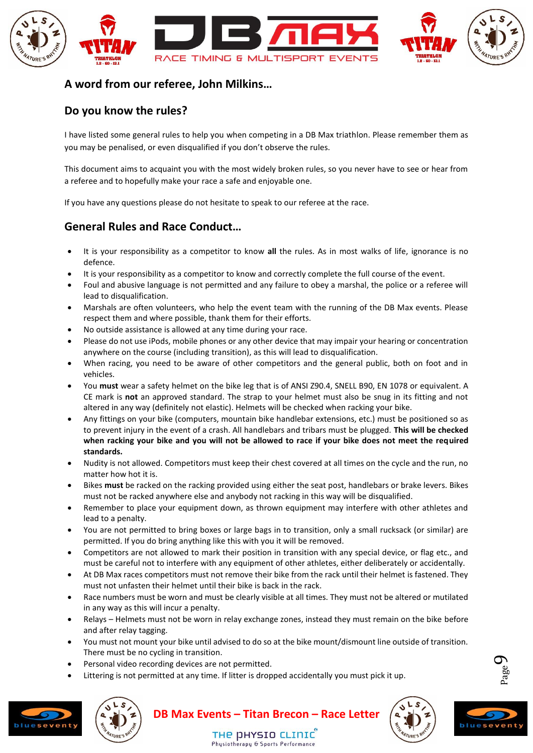

### **A word from our referee, John Milkins…**

# **Do you know the rules?**

I have listed some general rules to help you when competing in a DB Max triathlon. Please remember them as you may be penalised, or even disqualified if you don't observe the rules.

This document aims to acquaint you with the most widely broken rules, so you never have to see or hear from a referee and to hopefully make your race a safe and enjoyable one.

If you have any questions please do not hesitate to speak to our referee at the race.

# **General Rules and Race Conduct…**

- It is your responsibility as a competitor to know **all** the rules. As in most walks of life, ignorance is no defence.
- It is your responsibility as a competitor to know and correctly complete the full course of the event.
- Foul and abusive language is not permitted and any failure to obey a marshal, the police or a referee will lead to disqualification.
- Marshals are often volunteers, who help the event team with the running of the DB Max events. Please respect them and where possible, thank them for their efforts.
- No outside assistance is allowed at any time during your race.
- Please do not use iPods, mobile phones or any other device that may impair your hearing or concentration anywhere on the course (including transition), as this will lead to disqualification.
- When racing, you need to be aware of other competitors and the general public, both on foot and in vehicles.
- You **must** wear a safety helmet on the bike leg that is of ANSI Z90.4, SNELL B90, EN 1078 or equivalent. A CE mark is **not** an approved standard. The strap to your helmet must also be snug in its fitting and not altered in any way (definitely not elastic). Helmets will be checked when racking your bike.
- Any fittings on your bike (computers, mountain bike handlebar extensions, etc.) must be positioned so as to prevent injury in the event of a crash. All handlebars and tribars must be plugged. **This will be checked when racking your bike and you will not be allowed to race if your bike does not meet the required standards.**
- Nudity is not allowed. Competitors must keep their chest covered at all times on the cycle and the run, no matter how hot it is.
- Bikes **must** be racked on the racking provided using either the seat post, handlebars or brake levers. Bikes must not be racked anywhere else and anybody not racking in this way will be disqualified.
- Remember to place your equipment down, as thrown equipment may interfere with other athletes and lead to a penalty.
- You are not permitted to bring boxes or large bags in to transition, only a small rucksack (or similar) are permitted. If you do bring anything like this with you it will be removed.
- Competitors are not allowed to mark their position in transition with any special device, or flag etc., and must be careful not to interfere with any equipment of other athletes, either deliberately or accidentally.
- At DB Max races competitors must not remove their bike from the rack until their helmet is fastened. They must not unfasten their helmet until their bike is back in the rack.
- Race numbers must be worn and must be clearly visible at all times. They must not be altered or mutilated in any way as this will incur a penalty.
- Relays Helmets must not be worn in relay exchange zones, instead they must remain on the bike before and after relay tagging.
- You must not mount your bike until advised to do so at the bike mount/dismount line outside of transition. There must be no cycling in transition.
- Personal video recording devices are not permitted.
- Littering is not permitted at any time. If litter is dropped accidentally you must pick it up.









Page  $\sigma$ 

THE DHYSIO CLINIC Phusiotheranu & Sports Performance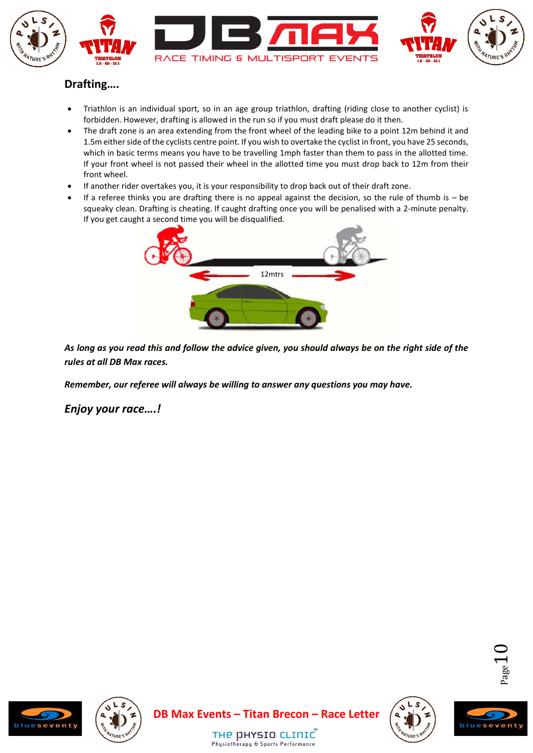

# **Drafting….**

- Triathlon is an individual sport, so in an age group triathlon, drafting (riding close to another cyclist) is forbidden. However, drafting is allowed in the run so if you must draft please do it then.
- The draft zone is an area extending from the front wheel of the leading bike to a point 12m behind it and 1.5m either side of the cyclists centre point. If you wish to overtake the cyclist in front, you have 25 seconds, which in basic terms means you have to be travelling 1mph faster than them to pass in the allotted time. If your front wheel is not passed their wheel in the allotted time you must drop back to 12m from their front wheel.
- If another rider overtakes you, it is your responsibility to drop back out of their draft zone.
- If a referee thinks you are drafting there is no appeal against the decision, so the rule of thumb is  $-$  be squeaky clean. Drafting is cheating. If caught drafting once you will be penalised with a 2-minute penalty. If you get caught a second time you will be disqualified.



*As long as you read this and follow the advice given, you should always be on the right side of the rules at all DB Max races.*

*Remember, our referee will always be willing to answer any questions you may have.*

*Enjoy your race….!*









THE DHYSIO CLINIC Physiotherapy & Sports Performance